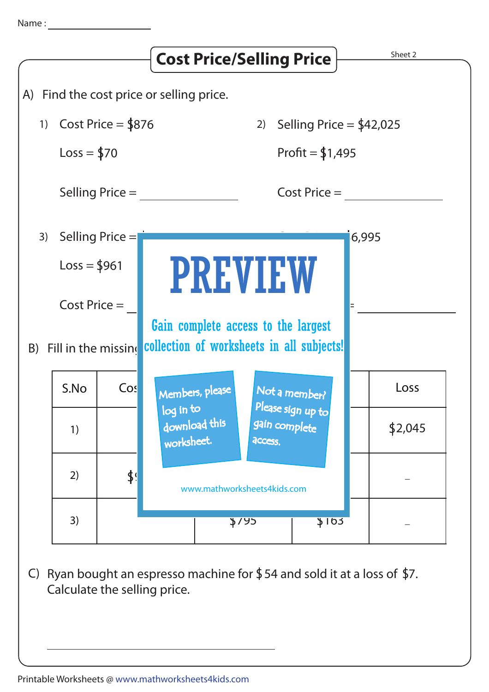

C) Ryan bought an espresso machine for  $$54$  and sold it at a loss of  $$7.$ Calculate the selling price.